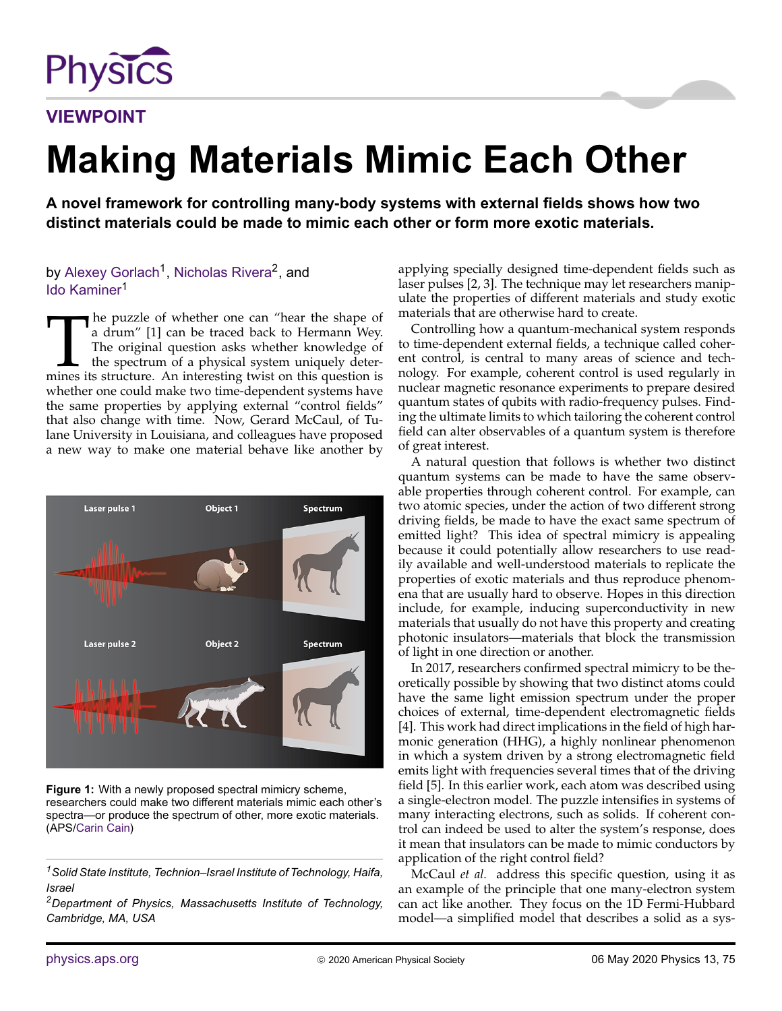

**VIEWPOINT**

## **Making Materials Mimic Each Other**

**A novel framework for controlling many-body systems with external fields shows how two distinct materials could be made to mimic each other or form more exotic materials.**

by Alexey Gorlach<sup>1</sup>, Nicholas Rivera<sup>2</sup>, and Ido Kaminer<sup>1</sup>

The puzzle of whether one can "hear the shape of a drum" [1] can be traced back to Hermann Wey.<br>The original question asks whether knowledge of the spectrum of a physical system uniquely determines its structure. An intere The puzzle of whether one can "hear the shape of a drum" [\[1\]](#page-1-0) can be traced back to Hermann Wey. The original question asks whether knowledge of the spectrum of a physical system uniquely deterwhether one could make two time-dependent systems have the same properties by applying external "control fields" that also change with time. Now, Gerard McCaul, of Tulane University in Louisiana, and colleagues have proposed a new way to make one material behave like another by



**Figure 1:** With a newly proposed spectral mimicry scheme, researchers could make two different materials mimic each other's spectra—or produce the spectrum of other, more exotic materials. (APS[/Carin Cain\)](http://www.carincain.com)

*<sup>1</sup>Solid State Institute, Technion–Israel Institute of Technology, Haifa, Israel*

*<sup>2</sup>Department of Physics, Massachusetts Institute of Technology, Cambridge, MA, USA*

applying specially designed time-dependent fields such as laser pulses [\[2,](#page-1-1) [3\]](#page-1-2). The technique may let researchers manipulate the properties of different materials and study exotic materials that are otherwise hard to create.

Controlling how a quantum-mechanical system responds to time-dependent external fields, a technique called coherent control, is central to many areas of science and technology. For example, coherent control is used regularly in nuclear magnetic resonance experiments to prepare desired quantum states of qubits with radio-frequency pulses. Finding the ultimate limits to which tailoring the coherent control field can alter observables of a quantum system is therefore of great interest.

A natural question that follows is whether two distinct quantum systems can be made to have the same observable properties through coherent control. For example, can two atomic species, under the action of two different strong driving fields, be made to have the exact same spectrum of emitted light? This idea of spectral mimicry is appealing because it could potentially allow researchers to use readily available and well-understood materials to replicate the properties of exotic materials and thus reproduce phenomena that are usually hard to observe. Hopes in this direction include, for example, inducing superconductivity in new materials that usually do not have this property and creating photonic insulators—materials that block the transmission of light in one direction or another.

In 2017, researchers confirmed spectral mimicry to be theoretically possible by showing that two distinct atoms could have the same light emission spectrum under the proper choices of external, time-dependent electromagnetic fields [\[4\]](#page-1-3). This work had direct implications in the field of high harmonic generation (HHG), a highly nonlinear phenomenon in which a system driven by a strong electromagnetic field emits light with frequencies several times that of the driving field [\[5\]](#page-1-4). In this earlier work, each atom was described using a single-electron model. The puzzle intensifies in systems of many interacting electrons, such as solids. If coherent control can indeed be used to alter the system's response, does it mean that insulators can be made to mimic conductors by application of the right control field?

McCaul *et al.* address this specific question, using it as an example of the principle that one many-electron system can act like another. They focus on the 1D Fermi-Hubbard model—a simplified model that describes a solid as a sys-